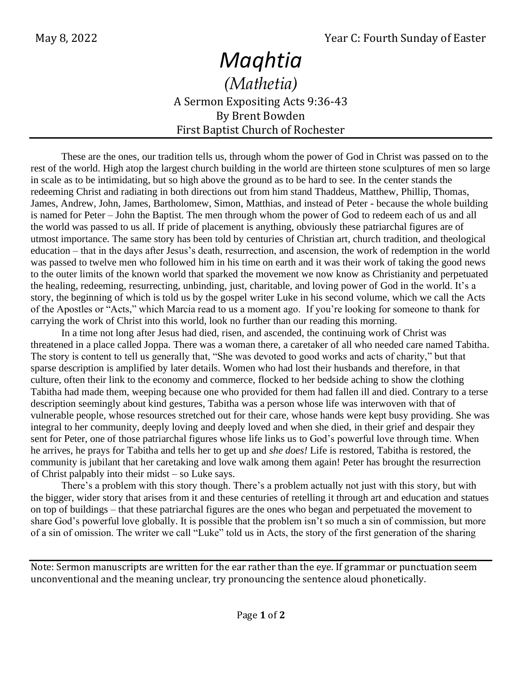## *Maqhtia*

*(Mathetia)* A Sermon Expositing Acts 9:36-43 By Brent Bowden First Baptist Church of Rochester

These are the ones, our tradition tells us, through whom the power of God in Christ was passed on to the rest of the world. High atop the largest church building in the world are thirteen stone sculptures of men so large in scale as to be intimidating, but so high above the ground as to be hard to see. In the center stands the redeeming Christ and radiating in both directions out from him stand Thaddeus, Matthew, Phillip, Thomas, James, Andrew, John, James, Bartholomew, Simon, Matthias, and instead of Peter - because the whole building is named for Peter – John the Baptist. The men through whom the power of God to redeem each of us and all the world was passed to us all. If pride of placement is anything, obviously these patriarchal figures are of utmost importance. The same story has been told by centuries of Christian art, church tradition, and theological education – that in the days after Jesus's death, resurrection, and ascension, the work of redemption in the world was passed to twelve men who followed him in his time on earth and it was their work of taking the good news to the outer limits of the known world that sparked the movement we now know as Christianity and perpetuated the healing, redeeming, resurrecting, unbinding, just, charitable, and loving power of God in the world. It's a story, the beginning of which is told us by the gospel writer Luke in his second volume, which we call the Acts of the Apostles or "Acts," which Marcia read to us a moment ago. If you're looking for someone to thank for carrying the work of Christ into this world, look no further than our reading this morning.

In a time not long after Jesus had died, risen, and ascended, the continuing work of Christ was threatened in a place called Joppa. There was a woman there, a caretaker of all who needed care named Tabitha. The story is content to tell us generally that, "She was devoted to good works and acts of charity," but that sparse description is amplified by later details. Women who had lost their husbands and therefore, in that culture, often their link to the economy and commerce, flocked to her bedside aching to show the clothing Tabitha had made them, weeping because one who provided for them had fallen ill and died. Contrary to a terse description seemingly about kind gestures, Tabitha was a person whose life was interwoven with that of vulnerable people, whose resources stretched out for their care, whose hands were kept busy providing. She was integral to her community, deeply loving and deeply loved and when she died, in their grief and despair they sent for Peter, one of those patriarchal figures whose life links us to God's powerful love through time. When he arrives, he prays for Tabitha and tells her to get up and *she does!* Life is restored, Tabitha is restored, the community is jubilant that her caretaking and love walk among them again! Peter has brought the resurrection of Christ palpably into their midst – so Luke says.

There's a problem with this story though. There's a problem actually not just with this story, but with the bigger, wider story that arises from it and these centuries of retelling it through art and education and statues on top of buildings – that these patriarchal figures are the ones who began and perpetuated the movement to share God's powerful love globally. It is possible that the problem isn't so much a sin of commission, but more of a sin of omission. The writer we call "Luke" told us in Acts, the story of the first generation of the sharing

Note: Sermon manuscripts are written for the ear rather than the eye. If grammar or punctuation seem unconventional and the meaning unclear, try pronouncing the sentence aloud phonetically.